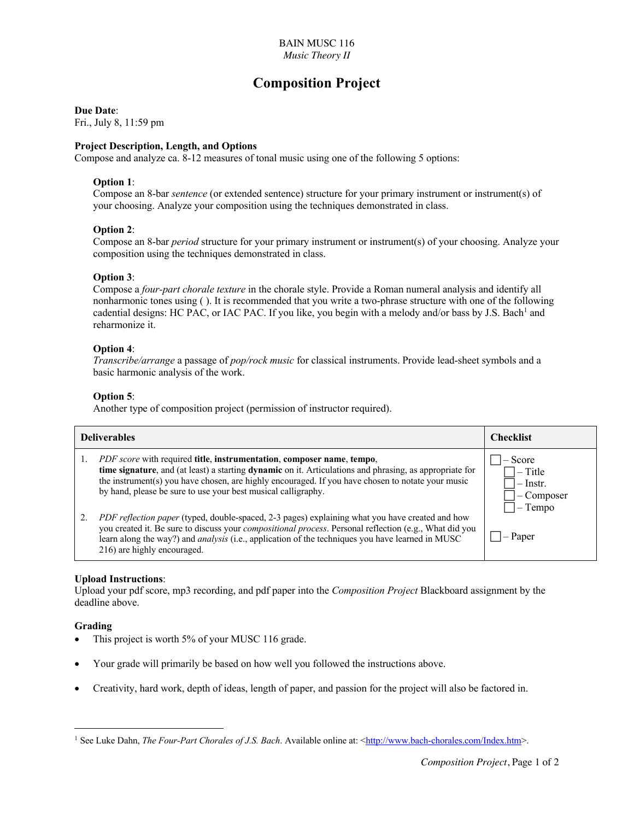# **Composition Project**

## **Due Date**:

Fri., July 8, 11:59 pm

# **Project Description, Length, and Options**

Compose and analyze ca. 8-12 measures of tonal music using one of the following 5 options:

# **Option 1**:

Compose an 8-bar *sentence* (or extended sentence) structure for your primary instrument or instrument(s) of your choosing. Analyze your composition using the techniques demonstrated in class.

# **Option 2**:

Compose an 8-bar *period* structure for your primary instrument or instrument(s) of your choosing. Analyze your composition using the techniques demonstrated in class.

# **Option 3**:

Compose a *four-part chorale texture* in the chorale style. Provide a Roman numeral analysis and identify all nonharmonic tones using ( ). It is recommended that you write a two-phrase structure with one of the following cadential designs: HC PAC, or IAC PAC. If you like, you begin with a melody and/or bass by J.S. Bach<sup>1</sup> and reharmonize it.

# **Option 4**:

*Transcribe/arrange* a passage of *pop/rock music* for classical instruments. Provide lead-sheet symbols and a basic harmonic analysis of the work.

# **Option 5**:

Another type of composition project (permission of instructor required).

| <b>Deliverables</b> |                                                                                                                                                                                                                                                                                                                                                                                               | <b>Checklist</b>                                      |
|---------------------|-----------------------------------------------------------------------------------------------------------------------------------------------------------------------------------------------------------------------------------------------------------------------------------------------------------------------------------------------------------------------------------------------|-------------------------------------------------------|
|                     | <i>PDF score</i> with required <b>title</b> , <b>instrumentation</b> , <b>composer name</b> , <b>tempo</b> ,<br>time signature, and (at least) a starting dynamic on it. Articulations and phrasing, as appropriate for<br>the instrument(s) you have chosen, are highly encouraged. If you have chosen to notate your music<br>by hand, please be sure to use your best musical calligraphy. | Score<br>$-$ Title<br>Instr.<br>Composer<br>$-$ Tempo |
|                     | PDF reflection paper (typed, double-spaced, 2-3 pages) explaining what you have created and how<br>you created it. Be sure to discuss your <i>compositional process</i> . Personal reflection (e.g., What did you<br>learn along the way?) and <i>analysis</i> (i.e., application of the techniques you have learned in MUSC<br>216) are highly encouraged.                                   | $\neg$ – Paper                                        |

# **Upload Instructions**:

Upload your pdf score, mp3 recording, and pdf paper into the *Composition Project* Blackboard assignment by the deadline above.

# **Grading**

- This project is worth 5% of your MUSC 116 grade.
- Your grade will primarily be based on how well you followed the instructions above.
- Creativity, hard work, depth of ideas, length of paper, and passion for the project will also be factored in.

<sup>&</sup>lt;sup>1</sup> See Luke Dahn, *The Four-Part Chorales of J.S. Bach*. Available online at: <http://www.bach-chorales.com/Index.htm>.